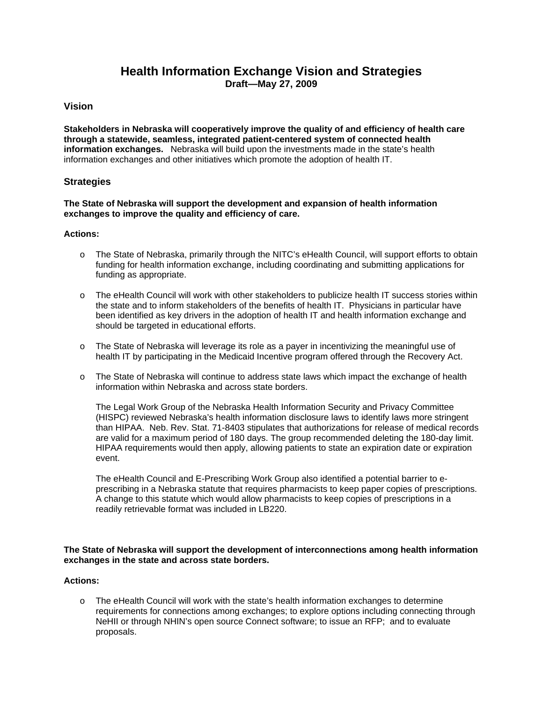# **Health Information Exchange Vision and Strategies Draft—May 27, 2009**

## **Vision**

**Stakeholders in Nebraska will cooperatively improve the quality of and efficiency of health care through a statewide, seamless, integrated patient-centered system of connected health information exchanges.** Nebraska will build upon the investments made in the state's health information exchanges and other initiatives which promote the adoption of health IT.

### **Strategies**

#### **The State of Nebraska will support the development and expansion of health information exchanges to improve the quality and efficiency of care.**

#### **Actions:**

- o The State of Nebraska, primarily through the NITC's eHealth Council, will support efforts to obtain funding for health information exchange, including coordinating and submitting applications for funding as appropriate.
- o The eHealth Council will work with other stakeholders to publicize health IT success stories within the state and to inform stakeholders of the benefits of health IT. Physicians in particular have been identified as key drivers in the adoption of health IT and health information exchange and should be targeted in educational efforts.
- $\circ$  The State of Nebraska will leverage its role as a payer in incentivizing the meaningful use of health IT by participating in the Medicaid Incentive program offered through the Recovery Act.
- o The State of Nebraska will continue to address state laws which impact the exchange of health information within Nebraska and across state borders.

The Legal Work Group of the Nebraska Health Information Security and Privacy Committee (HISPC) reviewed Nebraska's health information disclosure laws to identify laws more stringent than HIPAA. Neb. Rev. Stat. 71-8403 stipulates that authorizations for release of medical records are valid for a maximum period of 180 days. The group recommended deleting the 180-day limit. HIPAA requirements would then apply, allowing patients to state an expiration date or expiration event.

The eHealth Council and E-Prescribing Work Group also identified a potential barrier to eprescribing in a Nebraska statute that requires pharmacists to keep paper copies of prescriptions. A change to this statute which would allow pharmacists to keep copies of prescriptions in a readily retrievable format was included in LB220.

#### **The State of Nebraska will support the development of interconnections among health information exchanges in the state and across state borders.**

#### **Actions:**

o The eHealth Council will work with the state's health information exchanges to determine requirements for connections among exchanges; to explore options including connecting through NeHII or through NHIN's open source Connect software; to issue an RFP; and to evaluate proposals.